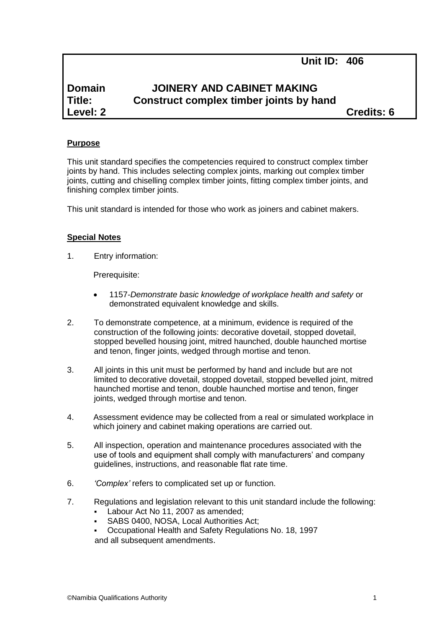**Unit ID: 406**

# **Domain JOINERY AND CABINET MAKING Title: Construct complex timber joints by hand Level: 2 Credits: 6**

# **Purpose**

This unit standard specifies the competencies required to construct complex timber joints by hand. This includes selecting complex joints, marking out complex timber joints, cutting and chiselling complex timber joints, fitting complex timber joints, and finishing complex timber joints.

This unit standard is intended for those who work as joiners and cabinet makers.

#### **Special Notes**

1. Entry information:

Prerequisite:

- 1157*-Demonstrate basic knowledge of workplace health and safety* or demonstrated equivalent knowledge and skills.
- 2. To demonstrate competence, at a minimum, evidence is required of the construction of the following joints: decorative dovetail, stopped dovetail, stopped bevelled housing joint, mitred haunched, double haunched mortise and tenon, finger joints, wedged through mortise and tenon.
- 3. All joints in this unit must be performed by hand and include but are not limited to decorative dovetail, stopped dovetail, stopped bevelled joint, mitred haunched mortise and tenon, double haunched mortise and tenon, finger joints, wedged through mortise and tenon.
- 4. Assessment evidence may be collected from a real or simulated workplace in which joinery and cabinet making operations are carried out.
- 5. All inspection, operation and maintenance procedures associated with the use of tools and equipment shall comply with manufacturers' and company guidelines, instructions, and reasonable flat rate time.
- 6. *'Complex'* refers to complicated set up or function.
- 7. Regulations and legislation relevant to this unit standard include the following:
	- Labour Act No 11, 2007 as amended;
	- SABS 0400, NOSA, Local Authorities Act;
	- Occupational Health and Safety Regulations No. 18, 1997 and all subsequent amendments.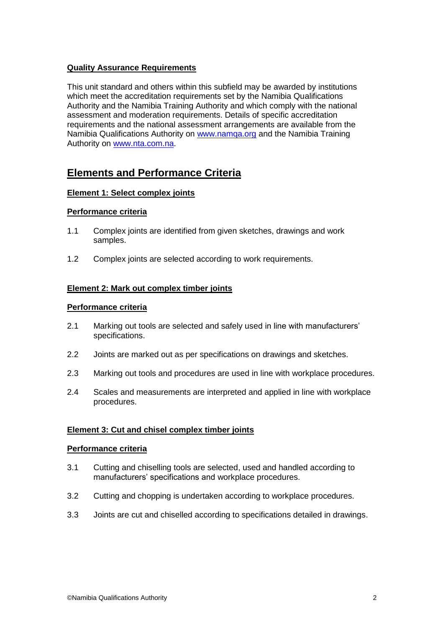# **Quality Assurance Requirements**

This unit standard and others within this subfield may be awarded by institutions which meet the accreditation requirements set by the Namibia Qualifications Authority and the Namibia Training Authority and which comply with the national assessment and moderation requirements. Details of specific accreditation requirements and the national assessment arrangements are available from the Namibia Qualifications Authority on [www.namqa.org](http://www.namqa.org/) and the Namibia Training Authority on [www.nta.com.na.](http://www.nta.com.na/)

# **Elements and Performance Criteria**

# **Element 1: Select complex joints**

#### **Performance criteria**

- 1.1 Complex joints are identified from given sketches, drawings and work samples.
- 1.2 Complex joints are selected according to work requirements.

#### **Element 2: Mark out complex timber joints**

#### **Performance criteria**

- 2.1 Marking out tools are selected and safely used in line with manufacturers' specifications.
- 2.2 Joints are marked out as per specifications on drawings and sketches.
- 2.3 Marking out tools and procedures are used in line with workplace procedures.
- 2.4 Scales and measurements are interpreted and applied in line with workplace procedures.

# **Element 3: Cut and chisel complex timber joints**

#### **Performance criteria**

- 3.1 Cutting and chiselling tools are selected, used and handled according to manufacturers' specifications and workplace procedures.
- 3.2 Cutting and chopping is undertaken according to workplace procedures.
- 3.3 Joints are cut and chiselled according to specifications detailed in drawings.